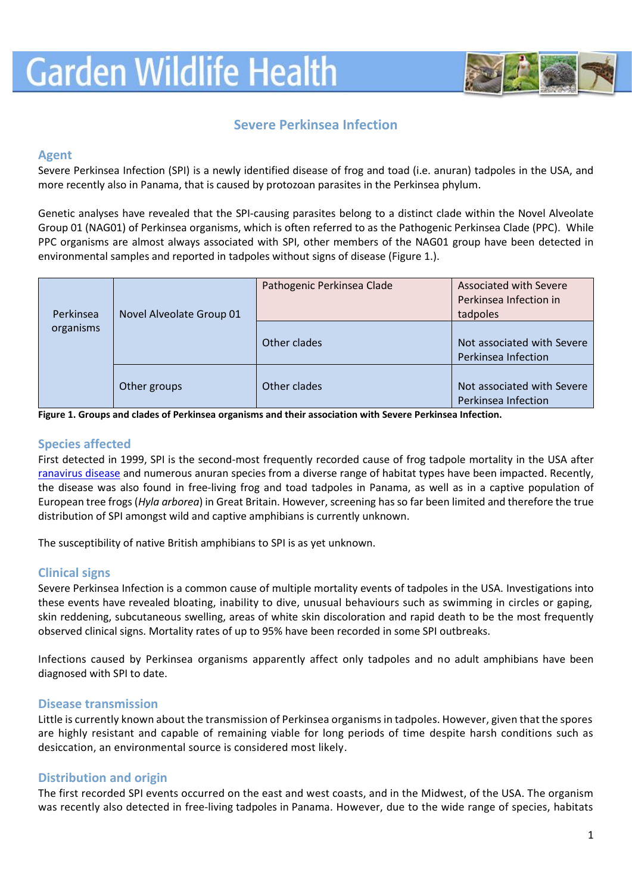

# **Severe Perkinsea Infection**

#### **Agent**

Severe Perkinsea Infection (SPI) is a newly identified disease of frog and toad (i.e. anuran) tadpoles in the USA, and more recently also in Panama, that is caused by protozoan parasites in the Perkinsea phylum.

Genetic analyses have revealed that the SPI-causing parasites belong to a distinct clade within the Novel Alveolate Group 01 (NAG01) of Perkinsea organisms, which is often referred to as the Pathogenic Perkinsea Clade (PPC). While PPC organisms are almost always associated with SPI, other members of the NAG01 group have been detected in environmental samples and reported in tadpoles without signs of disease (Figure 1.).

| Perkinsea<br>organisms | Novel Alveolate Group 01 | Pathogenic Perkinsea Clade | <b>Associated with Severe</b><br>Perkinsea Infection in<br>tadpoles |
|------------------------|--------------------------|----------------------------|---------------------------------------------------------------------|
|                        |                          | Other clades               | Not associated with Severe<br>Perkinsea Infection                   |
|                        | Other groups             | Other clades               | Not associated with Severe<br>Perkinsea Infection                   |

**Figure 1. Groups and clades of Perkinsea organisms and their association with Severe Perkinsea Infection.**

## **Species affected**

First detected in 1999, SPI is the second-most frequently recorded cause of frog tadpole mortality in the USA after [ranavirus disease](https://www.gardenwildlifehealth.org/portfolio/ranavirus-disease/) and numerous anuran species from a diverse range of habitat types have been impacted. Recently, the disease was also found in free-living frog and toad tadpoles in Panama, as well as in a captive population of European tree frogs (*Hyla arborea*) in Great Britain. However, screening has so far been limited and therefore the true distribution of SPI amongst wild and captive amphibians is currently unknown.

The susceptibility of native British amphibians to SPI is as yet unknown.

#### **Clinical signs**

Severe Perkinsea Infection is a common cause of multiple mortality events of tadpoles in the USA. Investigations into these events have revealed bloating, inability to dive, unusual behaviours such as swimming in circles or gaping, skin reddening, subcutaneous swelling, areas of white skin discoloration and rapid death to be the most frequently observed clinical signs. Mortality rates of up to 95% have been recorded in some SPI outbreaks.

Infections caused by Perkinsea organisms apparently affect only tadpoles and no adult amphibians have been diagnosed with SPI to date.

#### **Disease transmission**

Little is currently known about the transmission of Perkinsea organisms in tadpoles. However, given that the spores are highly resistant and capable of remaining viable for long periods of time despite harsh conditions such as desiccation, an environmental source is considered most likely.

# **Distribution and origin**

The first recorded SPI events occurred on the east and west coasts, and in the Midwest, of the USA. The organism was recently also detected in free-living tadpoles in Panama. However, due to the wide range of species, habitats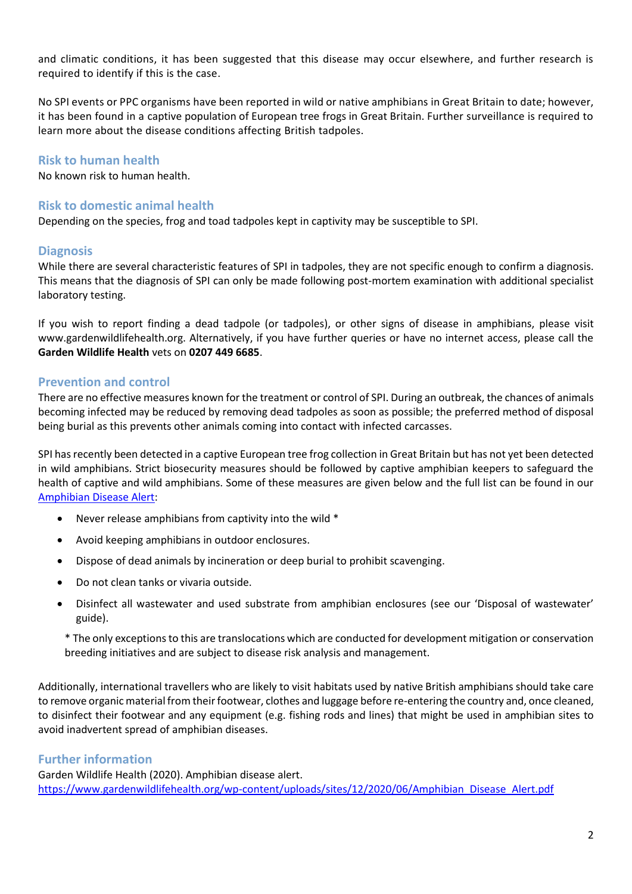and climatic conditions, it has been suggested that this disease may occur elsewhere, and further research is required to identify if this is the case.

No SPI events or PPC organisms have been reported in wild or native amphibians in Great Britain to date; however, it has been found in a captive population of European tree frogs in Great Britain. Further surveillance is required to learn more about the disease conditions affecting British tadpoles.

### **Risk to human health**

No known risk to human health.

### **Risk to domestic animal health**

Depending on the species, frog and toad tadpoles kept in captivity may be susceptible to SPI.

### **Diagnosis**

While there are several characteristic features of SPI in tadpoles, they are not specific enough to confirm a diagnosis. This means that the diagnosis of SPI can only be made following post-mortem examination with additional specialist laboratory testing.

If you wish to report finding a dead tadpole (or tadpoles), or other signs of disease in amphibians, please visit www.gardenwildlifehealth.org. Alternatively, if you have further queries or have no internet access, please call the **Garden Wildlife Health** vets on **0207 449 6685**.

### **Prevention and control**

There are no effective measures known for the treatment or control of SPI. During an outbreak, the chances of animals becoming infected may be reduced by removing dead tadpoles as soon as possible; the preferred method of disposal being burial as this prevents other animals coming into contact with infected carcasses.

SPI has recently been detected in a captive European tree frog collection in Great Britain but has not yet been detected in wild amphibians. Strict biosecurity measures should be followed by captive amphibian keepers to safeguard the health of captive and wild amphibians. Some of these measures are given below and the full list can be found in our [Amphibian Disease Alert:](https://www.gardenwildlifehealth.org/wp-content/uploads/sites/12/2020/06/Amphibian_Disease_Alert.pdf)

- Never release amphibians from captivity into the wild \*
- Avoid keeping amphibians in outdoor enclosures.
- Dispose of dead animals by incineration or deep burial to prohibit scavenging.
- Do not clean tanks or vivaria outside.
- Disinfect all wastewater and used substrate from amphibian enclosures (see our 'Disposal of wastewater' guide).

\* The only exceptions to this are translocations which are conducted for development mitigation or conservation breeding initiatives and are subject to disease risk analysis and management.

Additionally, international travellers who are likely to visit habitats used by native British amphibians should take care to remove organic material from their footwear, clothes and luggage before re-entering the country and, once cleaned, to disinfect their footwear and any equipment (e.g. fishing rods and lines) that might be used in amphibian sites to avoid inadvertent spread of amphibian diseases.

# **Further information**

Garden Wildlife Health (2020). Amphibian disease alert. [https://www.gardenwildlifehealth.org/wp-content/uploads/sites/12/2020/06/Amphibian\\_Disease\\_Alert.pdf](https://www.gardenwildlifehealth.org/wp-content/uploads/sites/12/2020/06/Amphibian_Disease_Alert.pdf)